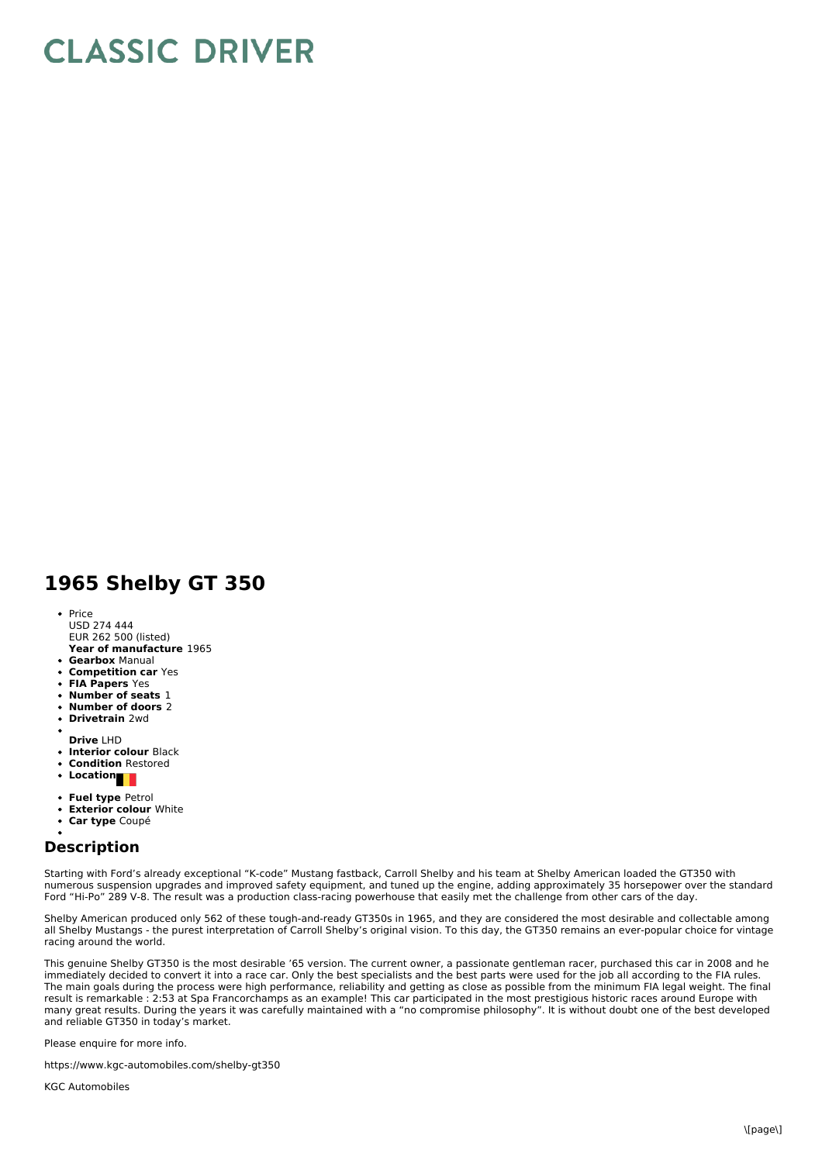## **CLASSIC DRIVER**

## **1965 Shelby GT 350**

- **Year of manufacture** 1965 • Price USD 274 444 EUR 262 500 (listed)
- **Gearbox** Manual
- **Competition car** Yes
- **FIA Papers** Yes
- **Number of seats** 1
- **Number of doors** 2
- **Drivetrain** 2wd
- 
- **Drive** LHD
- **Interior colour** Black
- **Condition** Restored
- Location
- **Fuel type** Petrol
- **Exterior colour** White
- **Car type** Coupé
- 

## **Description**

Starting with Ford's already exceptional "K-code" Mustang fastback, Carroll Shelby and his team at Shelby American loaded the GT350 with numerous suspension upgrades and improved safety equipment, and tuned up the engine, adding approximately 35 horsepower over the standard Ford "Hi-Po" 289 V-8. The result was a production class-racing powerhouse that easily met the challenge from other cars of the day.

Shelby American produced only 562 of these tough-and-ready GT350s in 1965, and they are considered the most desirable and collectable among all Shelby Mustangs - the purest interpretation of Carroll Shelby's original vision. To this day, the GT350 remains an ever-popular choice for vintage racing around the world.

This genuine Shelby GT350 is the most desirable '65 version. The current owner, a passionate gentleman racer, purchased this car in 2008 and he immediately decided to convert it into a race car. Only the best specialists and the best parts were used for the job all according to the FIA rules. The main goals during the process were high performance, reliability and getting as close as possible from the minimum FIA legal weight. The final result is remarkable : 2:53 at Spa Francorchamps as an example! This car participated in the most prestigious historic races around Europe with many great results. During the years it was carefully maintained with a "no compromise philosophy". It is without doubt one of the best developed and reliable GT350 in today's market.

Please enquire for more info.

https://www.kgc-automobiles.com/shelby-gt350

KGC Automobiles